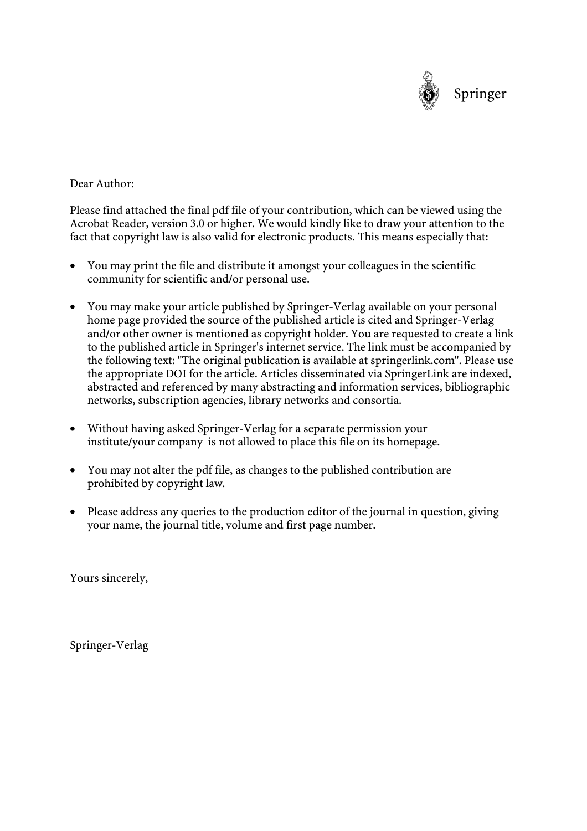

# Dear Author:

Please find attached the final pdf file of your contribution, which can be viewed using the Acrobat Reader, version 3.0 or higher. We would kindly like to draw your attention to the fact that copyright law is also valid for electronic products. This means especially that:

- You may print the file and distribute it amongst your colleagues in the scientific community for scientific and/or personal use.
- You may make your article published by Springer-Verlag available on your personal home page provided the source of the published article is cited and Springer-Verlag and/or other owner is mentioned as copyright holder. You are requested to create a link to the published article in Springer's internet service. The link must be accompanied by the following text: "The original publication is available at springerlink.com". Please use the appropriate DOI for the article. Articles disseminated via SpringerLink are indexed, abstracted and referenced by many abstracting and information services, bibliographic networks, subscription agencies, library networks and consortia.
- Without having asked Springer-Verlag for a separate permission your institute/your company is not allowed to place this file on its homepage.
- You may not alter the pdf file, as changes to the published contribution are prohibited by copyright law.
- Please address any queries to the production editor of the journal in question, giving your name, the journal title, volume and first page number.

Yours sincerely,

Springer-Verlag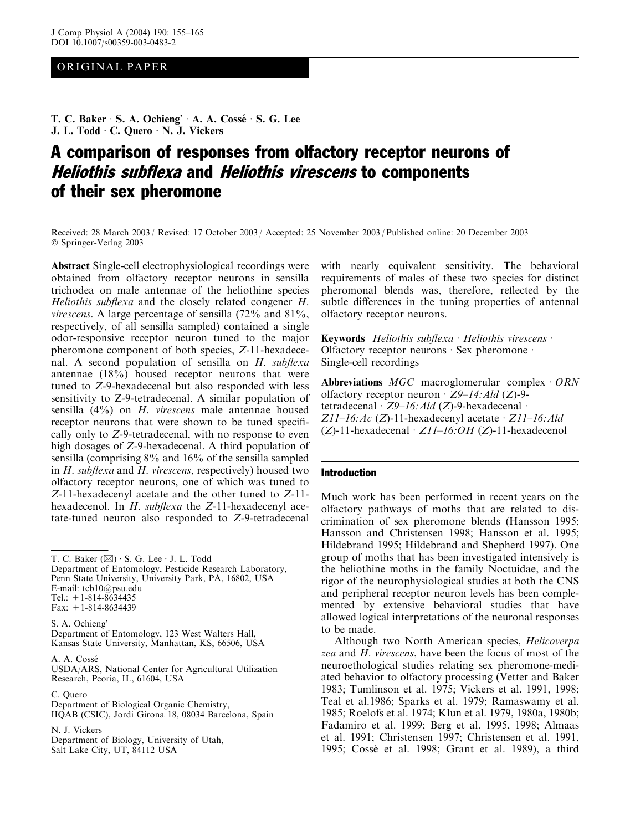# ORIGINAL PAPER

T. C. Baker  $\cdot$  S. A. Ochieng'  $\cdot$  A. A. Cossé  $\cdot$  S. G. Lee J. L. Todd · C. Quero · N. J. Vickers

# A comparison of responses from olfactory receptor neurons of Heliothis subflexa and Heliothis virescens to components of their sex pheromone

Received: 28 March 2003 / Revised: 17 October 2003 / Accepted: 25 November 2003 / Published online: 20 December 2003 Springer-Verlag 2003

Abstract Single-cell electrophysiological recordings were obtained from olfactory receptor neurons in sensilla trichodea on male antennae of the heliothine species Heliothis subflexa and the closely related congener H. virescens. A large percentage of sensilla (72% and 81%, respectively, of all sensilla sampled) contained a single odor-responsive receptor neuron tuned to the major pheromone component of both species, Z-11-hexadecenal. A second population of sensilla on  $H$ . subflexa antennae (18%) housed receptor neurons that were tuned to Z-9-hexadecenal but also responded with less sensitivity to Z-9-tetradecenal. A similar population of sensilla (4%) on H. virescens male antennae housed receptor neurons that were shown to be tuned specifically only to Z-9-tetradecenal, with no response to even high dosages of Z-9-hexadecenal. A third population of sensilla (comprising 8% and 16% of the sensilla sampled in H. subflexa and H. virescens, respectively) housed two olfactory receptor neurons, one of which was tuned to Z-11-hexadecenyl acetate and the other tuned to Z-11 hexadecenol. In H. subflexa the Z-11-hexadecenyl acetate-tuned neuron also responded to Z-9-tetradecenal

T. C. Baker  $(\boxtimes) \cdot$  S. G. Lee  $\cdot$  J. L. Todd Department of Entomology, Pesticide Research Laboratory, Penn State University, University Park, PA, 16802, USA E-mail: tcb10@psu.edu Tel.:  $+1-814-8634435$ Fax: +1-814-8634439

S. A. Ochieng Department of Entomology, 123 West Walters Hall, Kansas State University, Manhattan, KS, 66506, USA

A. A. Cosse´

USDA/ARS, National Center for Agricultural Utilization Research, Peoria, IL, 61604, USA

C. Quero

Department of Biological Organic Chemistry,

IIQAB (CSIC), Jordi Girona 18, 08034 Barcelona, Spain

N. J. Vickers Department of Biology, University of Utah, Salt Lake City, UT, 84112 USA

with nearly equivalent sensitivity. The behavioral requirements of males of these two species for distinct pheromonal blends was, therefore, reflected by the subtle differences in the tuning properties of antennal olfactory receptor neurons.

Keywords Heliothis subflexa  $\cdot$  Heliothis virescens  $\cdot$ Olfactory receptor neurons  $\cdot$  Sex pheromone  $\cdot$ Single-cell recordings

Abbreviations  $MGC$  macroglomerular complex  $\cdot$  ORN olfactory receptor neuron  $\cdot$  Z9–14: Ald (Z)-9tetradecenal  $Z9-16$ : Ald (Z)-9-hexadecenal  $\cdot$  $Z11-16:Ac (Z)-11$ -hexadecenyl acetate  $Z11-16:Ad$ (Z)-11-hexadecenal  $Z11-16:OH$  (Z)-11-hexadecenol

#### Introduction

Much work has been performed in recent years on the olfactory pathways of moths that are related to discrimination of sex pheromone blends (Hansson 1995; Hansson and Christensen 1998; Hansson et al. 1995; Hildebrand 1995; Hildebrand and Shepherd 1997). One group of moths that has been investigated intensively is the heliothine moths in the family Noctuidae, and the rigor of the neurophysiological studies at both the CNS and peripheral receptor neuron levels has been complemented by extensive behavioral studies that have allowed logical interpretations of the neuronal responses to be made.

Although two North American species, Helicoverpa zea and H. virescens, have been the focus of most of the neuroethological studies relating sex pheromone-mediated behavior to olfactory processing (Vetter and Baker 1983; Tumlinson et al. 1975; Vickers et al. 1991, 1998; Teal et al.1986; Sparks et al. 1979; Ramaswamy et al. 1985; Roelofs et al. 1974; Klun et al. 1979, 1980a, 1980b; Fadamiro et al. 1999; Berg et al. 1995, 1998; Almaas et al. 1991; Christensen 1997; Christensen et al. 1991, 1995; Cossé et al. 1998; Grant et al. 1989), a third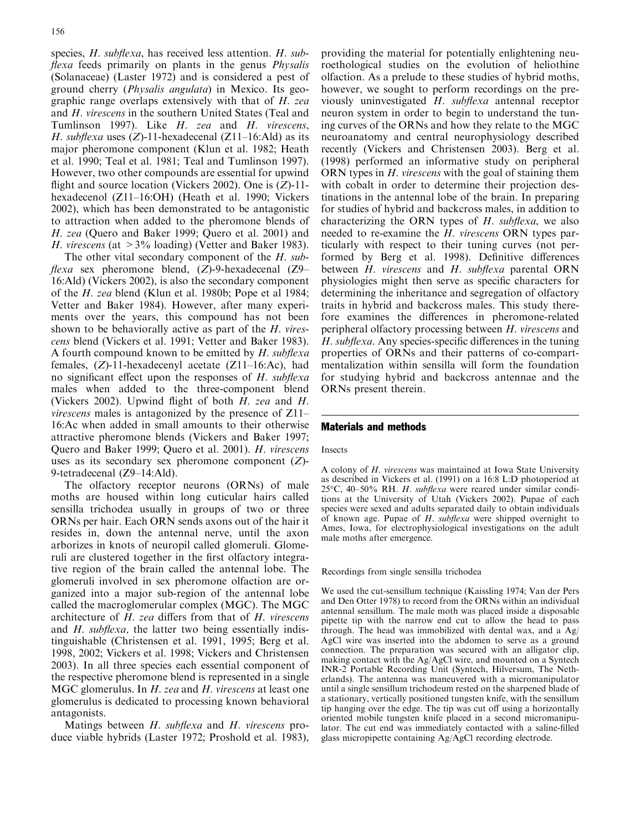species, H. subflexa, has received less attention. H. subflexa feeds primarily on plants in the genus *Physalis* (Solanaceae) (Laster 1972) and is considered a pest of ground cherry (Physalis angulata) in Mexico. Its geographic range overlaps extensively with that of H. zea and H. virescens in the southern United States (Teal and Tumlinson 1997). Like H. zea and H. virescens, H. subflexa uses  $(Z)$ -11-hexadecenal  $(Z11-16:$ Ald) as its major pheromone component (Klun et al. 1982; Heath et al. 1990; Teal et al. 1981; Teal and Tumlinson 1997). However, two other compounds are essential for upwind flight and source location (Vickers 2002). One is  $(Z)$ -11hexadecenol (Z11–16:OH) (Heath et al. 1990; Vickers 2002), which has been demonstrated to be antagonistic to attraction when added to the pheromone blends of H. zea (Quero and Baker 1999; Quero et al. 2001) and H. virescens (at  $>3\%$  loading) (Vetter and Baker 1983).

The other vital secondary component of the H. sub*flexa* sex pheromone blend,  $(Z)$ -9-hexadecenal  $(Z)$ -16:Ald) (Vickers 2002), is also the secondary component of the H. zea blend (Klun et al. 1980b; Pope et al 1984; Vetter and Baker 1984). However, after many experiments over the years, this compound has not been shown to be behaviorally active as part of the H. virescens blend (Vickers et al. 1991; Vetter and Baker 1983). A fourth compound known to be emitted by  $H$ . subflexa females, (Z)-11-hexadecenyl acetate (Z11–16:Ac), had no significant effect upon the responses of H. subflexa males when added to the three-component blend (Vickers 2002). Upwind flight of both H. zea and H. virescens males is antagonized by the presence of Z11– 16:Ac when added in small amounts to their otherwise attractive pheromone blends (Vickers and Baker 1997; Quero and Baker 1999; Quero et al. 2001). H. virescens uses as its secondary sex pheromone component (Z)- 9-tetradecenal (Z9–14:Ald).

The olfactory receptor neurons (ORNs) of male moths are housed within long cuticular hairs called sensilla trichodea usually in groups of two or three ORNs per hair. Each ORN sends axons out of the hair it resides in, down the antennal nerve, until the axon arborizes in knots of neuropil called glomeruli. Glomeruli are clustered together in the first olfactory integrative region of the brain called the antennal lobe. The glomeruli involved in sex pheromone olfaction are organized into a major sub-region of the antennal lobe called the macroglomerular complex (MGC). The MGC architecture of H. zea differs from that of H. virescens and H. subflexa, the latter two being essentially indistinguishable (Christensen et al. 1991, 1995; Berg et al. 1998, 2002; Vickers et al. 1998; Vickers and Christensen 2003). In all three species each essential component of the respective pheromone blend is represented in a single MGC glomerulus. In H. zea and H. virescens at least one glomerulus is dedicated to processing known behavioral antagonists.

Matings between H. subflexa and H. virescens produce viable hybrids (Laster 1972; Proshold et al. 1983),

providing the material for potentially enlightening neuroethological studies on the evolution of heliothine olfaction. As a prelude to these studies of hybrid moths, however, we sought to perform recordings on the previously uninvestigated H. subflexa antennal receptor neuron system in order to begin to understand the tuning curves of the ORNs and how they relate to the MGC neuroanatomy and central neurophysiology described recently (Vickers and Christensen 2003). Berg et al. (1998) performed an informative study on peripheral ORN types in *H. virescens* with the goal of staining them with cobalt in order to determine their projection destinations in the antennal lobe of the brain. In preparing for studies of hybrid and backcross males, in addition to characterizing the ORN types of  $H$ . subflexa, we also needed to re-examine the H. virescens ORN types particularly with respect to their tuning curves (not performed by Berg et al. 1998). Definitive differences between H. virescens and H. subflexa parental ORN physiologies might then serve as specific characters for determining the inheritance and segregation of olfactory traits in hybrid and backcross males. This study therefore examines the differences in pheromone-related peripheral olfactory processing between H. virescens and H. subflexa. Any species-specific differences in the tuning properties of ORNs and their patterns of co-compartmentalization within sensilla will form the foundation for studying hybrid and backcross antennae and the ORNs present therein.

#### Materials and methods

#### Insects

A colony of H. virescens was maintained at Iowa State University as described in Vickers et al. (1991) on a 16:8 L:D photoperiod at 25°C, 40–50% RH. H. subflexa were reared under similar conditions at the University of Utah (Vickers 2002). Pupae of each species were sexed and adults separated daily to obtain individuals of known age. Pupae of  $H$ . subflexa were shipped overnight to Ames, Iowa, for electrophysiological investigations on the adult male moths after emergence.

#### Recordings from single sensilla trichodea

We used the cut-sensillum technique (Kaissling 1974; Van der Pers and Den Otter 1978) to record from the ORNs within an individual antennal sensillum. The male moth was placed inside a disposable pipette tip with the narrow end cut to allow the head to pass through. The head was immobilized with dental wax, and a Ag/ AgCl wire was inserted into the abdomen to serve as a ground connection. The preparation was secured with an alligator clip, making contact with the Ag/AgCl wire, and mounted on a Syntech INR-2 Portable Recording Unit (Syntech, Hilversum, The Netherlands). The antenna was maneuvered with a micromanipulator until a single sensillum trichodeum rested on the sharpened blade of a stationary, vertically positioned tungsten knife, with the sensillum tip hanging over the edge. The tip was cut off using a horizontally oriented mobile tungsten knife placed in a second micromanipulator. The cut end was immediately contacted with a saline-filled glass micropipette containing Ag/AgCl recording electrode.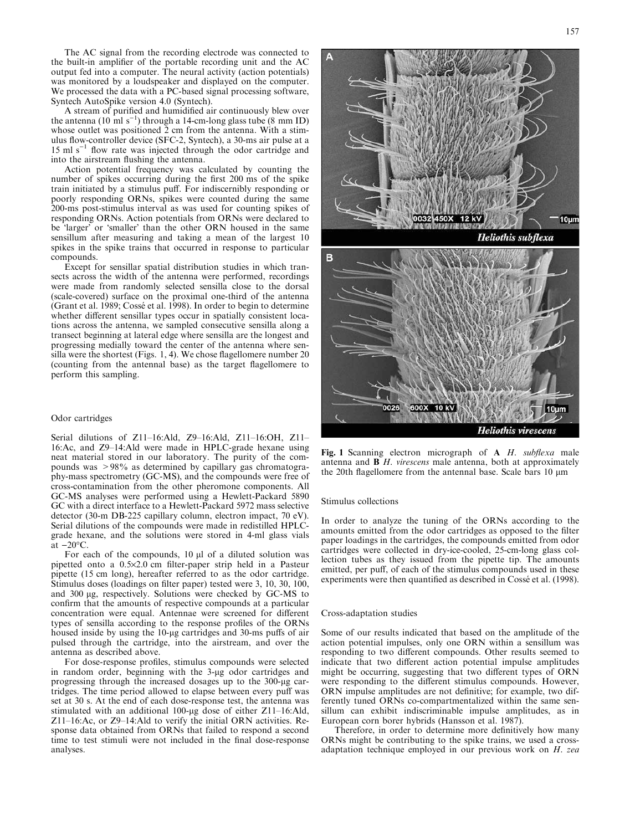The AC signal from the recording electrode was connected to the built-in amplifier of the portable recording unit and the AC output fed into a computer. The neural activity (action potentials) was monitored by a loudspeaker and displayed on the computer. We processed the data with a PC-based signal processing software, Syntech AutoSpike version 4.0 (Syntech).

A stream of purified and humidified air continuously blew over the antenna (10 ml s<sup>-1</sup>) through a 14-cm-long glass tube (8 mm ID) whose outlet was positioned  $\overline{2}$  cm from the antenna. With a stimulus flow-controller device (SFC-2, Syntech), a 30-ms air pulse at a  $15 \text{ ml s}^{-1}$  flow rate was injected through the odor cartridge and into the airstream flushing the antenna.

Action potential frequency was calculated by counting the number of spikes occurring during the first 200 ms of the spike train initiated by a stimulus puff. For indiscernibly responding or poorly responding ORNs, spikes were counted during the same 200-ms post-stimulus interval as was used for counting spikes of responding ORNs. Action potentials from ORNs were declared to be 'larger' or 'smaller' than the other ORN housed in the same sensillum after measuring and taking a mean of the largest 10 spikes in the spike trains that occurred in response to particular compounds.

Except for sensillar spatial distribution studies in which transects across the width of the antenna were performed, recordings were made from randomly selected sensilla close to the dorsal (scale-covered) surface on the proximal one-third of the antenna (Grant et al. 1989; Cossé et al. 1998). In order to begin to determine whether different sensillar types occur in spatially consistent locations across the antenna, we sampled consecutive sensilla along a transect beginning at lateral edge where sensilla are the longest and progressing medially toward the center of the antenna where sensilla were the shortest (Figs. 1, 4). We chose flagellomere number 20 (counting from the antennal base) as the target flagellomere to perform this sampling.

#### Odor cartridges

Serial dilutions of Z11–16:Ald, Z9–16:Ald, Z11–16:OH, Z11– 16:Ac, and Z9–14:Ald were made in HPLC-grade hexane using neat material stored in our laboratory. The purity of the compounds was >98% as determined by capillary gas chromatography-mass spectrometry (GC-MS), and the compounds were free of cross-contamination from the other pheromone components. All GC-MS analyses were performed using a Hewlett-Packard 5890 GC with a direct interface to a Hewlett-Packard 5972 mass selective detector (30-m DB-225 capillary column, electron impact, 70 eV). Serial dilutions of the compounds were made in redistilled HPLCgrade hexane, and the solutions were stored in 4-ml glass vials at  $-20\textdegree$ C.

For each of the compounds,  $10 \mu l$  of a diluted solution was pipetted onto a 0.5·2.0 cm filter-paper strip held in a Pasteur pipette (15 cm long), hereafter referred to as the odor cartridge. Stimulus doses (loadings on filter paper) tested were 3, 10, 30, 100, and 300 µg, respectively. Solutions were checked by GC-MS to confirm that the amounts of respective compounds at a particular concentration were equal. Antennae were screened for different types of sensilla according to the response profiles of the ORNs housed inside by using the 10-µg cartridges and 30-ms puffs of air pulsed through the cartridge, into the airstream, and over the antenna as described above.

For dose-response profiles, stimulus compounds were selected in random order, beginning with the 3-µg odor cartridges and progressing through the increased dosages up to the 300-ug cartridges. The time period allowed to elapse between every puff was set at 30 s. At the end of each dose-response test, the antenna was stimulated with an additional 100-µg dose of either Z11-16:Ald, Z11–16:Ac, or Z9–14:Ald to verify the initial ORN activities. Response data obtained from ORNs that failed to respond a second time to test stimuli were not included in the final dose-response analyses.



Fig. 1 Scanning electron micrograph of A H. subflexa male antenna and  $\overline{B}H$ . virescens male antenna, both at approximately the 20th flagellomere from the antennal base. Scale bars 10 µm

#### Stimulus collections

In order to analyze the tuning of the ORNs according to the amounts emitted from the odor cartridges as opposed to the filter paper loadings in the cartridges, the compounds emitted from odor cartridges were collected in dry-ice-cooled, 25-cm-long glass collection tubes as they issued from the pipette tip. The amounts emitted, per puff, of each of the stimulus compounds used in these experiments were then quantified as described in Cossé et al. (1998).

#### Cross-adaptation studies

Some of our results indicated that based on the amplitude of the action potential impulses, only one ORN within a sensillum was responding to two different compounds. Other results seemed to indicate that two different action potential impulse amplitudes might be occurring, suggesting that two different types of ORN were responding to the different stimulus compounds. However, ORN impulse amplitudes are not definitive; for example, two differently tuned ORNs co-compartmentalized within the same sensillum can exhibit indiscriminable impulse amplitudes, as in European corn borer hybrids (Hansson et al. 1987).

Therefore, in order to determine more definitively how many ORNs might be contributing to the spike trains, we used a crossadaptation technique employed in our previous work on H. zea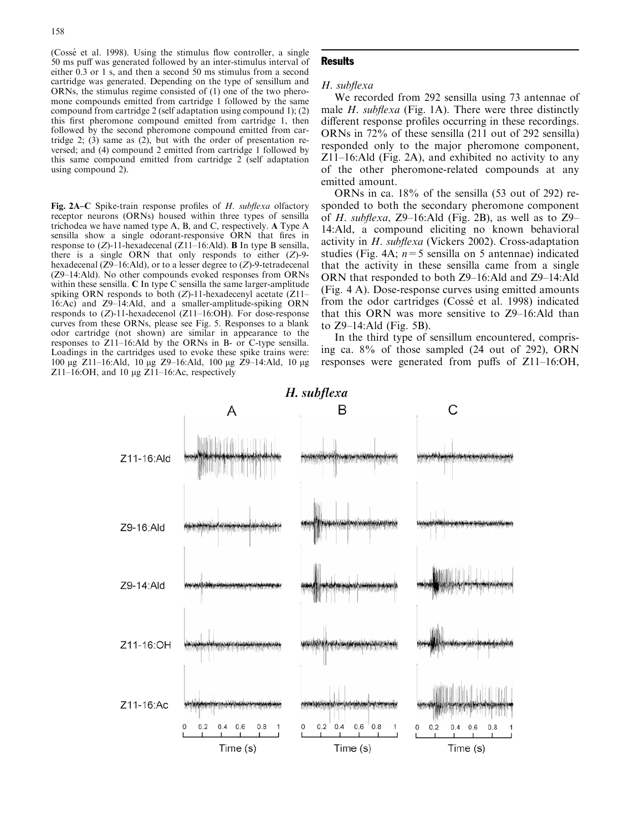(Cossé et al. 1998). Using the stimulus flow controller, a single 50 ms puff was generated followed by an inter-stimulus interval of either 0.3 or 1 s, and then a second 50 ms stimulus from a second cartridge was generated. Depending on the type of sensillum and ORNs, the stimulus regime consisted of (1) one of the two pheromone compounds emitted from cartridge 1 followed by the same compound from cartridge 2 (self adaptation using compound 1); (2) this first pheromone compound emitted from cartridge 1, then followed by the second pheromone compound emitted from cartridge 2;  $(3)$  same as  $(2)$ , but with the order of presentation reversed; and (4) compound 2 emitted from cartridge 1 followed by this same compound emitted from cartridge 2 (self adaptation using compound 2).

Fig. 2A–C Spike-train response profiles of H. subflexa olfactory receptor neurons (ORNs) housed within three types of sensilla trichodea we have named type A, B, and C, respectively. A Type A sensilla show a single odorant-responsive ORN that fires in response to  $(Z)$ -11-hexadecenal  $(Z11-16:Ad)$ . **B** In type B sensilla, there is a single ORN that only responds to either  $(Z)$ -9hexadecenal (Z9–16:Ald), or to a lesser degree to (Z)-9-tetradecenal (Z9–14:Ald). No other compounds evoked responses from ORNs within these sensilla. C In type C sensilla the same larger-amplitude spiking ORN responds to both (Z)-11-hexadecenyl acetate (Z11– 16:Ac) and Z9–14:Ald, and a smaller-amplitude-spiking ORN responds to (Z)-11-hexadecenol (Z11–16:OH). For dose-response curves from these ORNs, please see Fig. 5. Responses to a blank odor cartridge (not shown) are similar in appearance to the responses to Z11–16:Ald by the ORNs in B- or C-type sensilla. Loadings in the cartridges used to evoke these spike trains were: 100 μg Z11–16:Ald, 10 μg Z9–16:Ald, 100 μg Z9–14:Ald, 10 μg Z11–16:OH, and 10  $\mu$ g Z11–16:Ac, respectively

# **Results**

#### H. subflexa

We recorded from 292 sensilla using 73 antennae of male *H. subflexa* (Fig. 1A). There were three distinctly different response profiles occurring in these recordings. ORNs in 72% of these sensilla (211 out of 292 sensilla) responded only to the major pheromone component, Z11–16:Ald (Fig. 2A), and exhibited no activity to any of the other pheromone-related compounds at any emitted amount.

ORNs in ca. 18% of the sensilla (53 out of 292) responded to both the secondary pheromone component of H. subflexa,  $Z9-16$ : Ald (Fig. 2B), as well as to  $Z9-$ 14:Ald, a compound eliciting no known behavioral activity in H. subflexa (Vickers 2002). Cross-adaptation studies (Fig. 4A;  $n=5$  sensilla on 5 antennae) indicated that the activity in these sensilla came from a single ORN that responded to both Z9–16:Ald and Z9–14:Ald (Fig. 4 A). Dose-response curves using emitted amounts from the odor cartridges (Cossé et al. 1998) indicated that this ORN was more sensitive to Z9–16:Ald than to Z9–14:Ald (Fig. 5B).

In the third type of sensillum encountered, comprising ca. 8% of those sampled (24 out of 292), ORN responses were generated from puffs of Z11–16:OH,

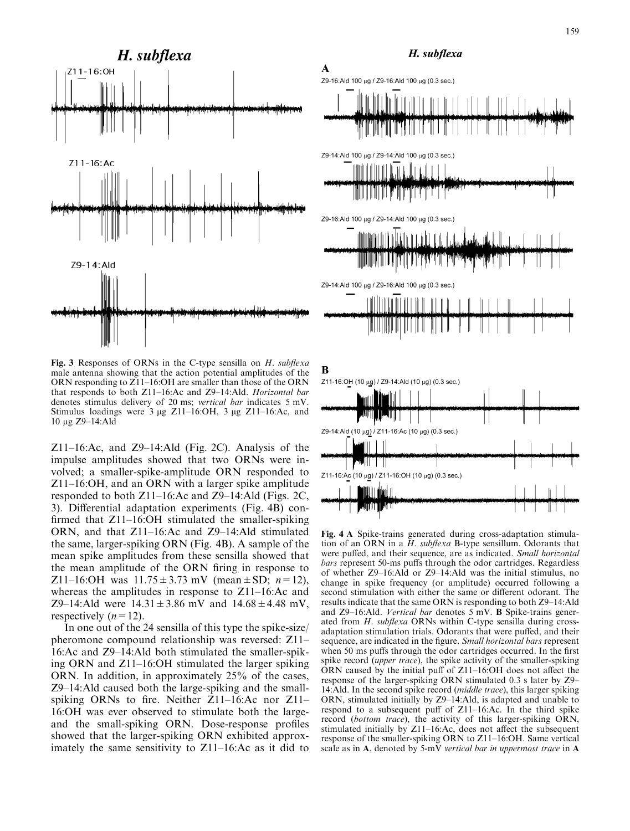

Fig. 3 Responses of ORNs in the C-type sensilla on  $H$ . subflexa male antenna showing that the action potential amplitudes of the ORN responding to Z11–16:OH are smaller than those of the ORN that responds to both Z11–16:Ac and Z9–14:Ald. Horizontal bar denotes stimulus delivery of 20 ms; vertical bar indicates 5 mV. Stimulus loadings were  $3 \mu g$  Z11–16:OH,  $3 \mu g$  Z11–16:Ac, and 10 μg Z9-14:Ald

Z11–16:Ac, and Z9–14:Ald (Fig. 2C). Analysis of the impulse amplitudes showed that two ORNs were involved; a smaller-spike-amplitude ORN responded to Z11–16:OH, and an ORN with a larger spike amplitude responded to both Z11–16:Ac and Z9–14:Ald (Figs. 2C, 3). Differential adaptation experiments (Fig. 4B) confirmed that Z11–16:OH stimulated the smaller-spiking ORN, and that Z11–16:Ac and Z9–14:Ald stimulated the same, larger-spiking ORN (Fig. 4B). A sample of the mean spike amplitudes from these sensilla showed that the mean amplitude of the ORN firing in response to Z11–16:OH was  $11.75 \pm 3.73$  mV (mean  $\pm$  SD;  $n=12$ ), whereas the amplitudes in response to Z11–16:Ac and Z9–14:Ald were  $14.31 \pm 3.86$  mV and  $14.68 \pm 4.48$  mV, respectively  $(n=12)$ .

In one out of the 24 sensilla of this type the spike-size/ pheromone compound relationship was reversed: Z11– 16:Ac and Z9–14:Ald both stimulated the smaller-spiking ORN and Z11–16:OH stimulated the larger spiking ORN. In addition, in approximately 25% of the cases, Z9–14:Ald caused both the large-spiking and the smallspiking ORNs to fire. Neither Z11–16:Ac nor Z11– 16:OH was ever observed to stimulate both the largeand the small-spiking ORN. Dose-response profiles showed that the larger-spiking ORN exhibited approximately the same sensitivity to Z11–16:Ac as it did to

# H. subflexa



Fig. 4 A Spike-trains generated during cross-adaptation stimulation of an ORN in a  $H$ . subflexa B-type sensillum. Odorants that were puffed, and their sequence, are as indicated. Small horizontal bars represent 50-ms puffs through the odor cartridges. Regardless of whether Z9–16:Ald or Z9–14:Ald was the initial stimulus, no change in spike frequency (or amplitude) occurred following a second stimulation with either the same or different odorant. The results indicate that the same ORN is responding to both Z9–14:Ald and  $Z9-16$ : Ald. *Vertical bar* denotes 5 mV. **B** Spike-trains generated from H. subflexa ORNs within C-type sensilla during crossadaptation stimulation trials. Odorants that were puffed, and their sequence, are indicated in the figure. Small horizontal bars represent when 50 ms puffs through the odor cartridges occurred. In the first spike record (*upper trace*), the spike activity of the smaller-spiking ORN caused by the initial puff of Z11–16:OH does not affect the response of the larger-spiking ORN stimulated 0.3 s later by Z9– 14:Ald. In the second spike record (middle trace), this larger spiking ORN, stimulated initially by Z9–14:Ald, is adapted and unable to respond to a subsequent puff of Z11–16:Ac. In the third spike record (bottom trace), the activity of this larger-spiking ORN, stimulated initially by Z11–16:Ac, does not affect the subsequent response of the smaller-spiking ORN to Z11–16:OH. Same vertical scale as in A, denoted by 5-mV vertical bar in uppermost trace in A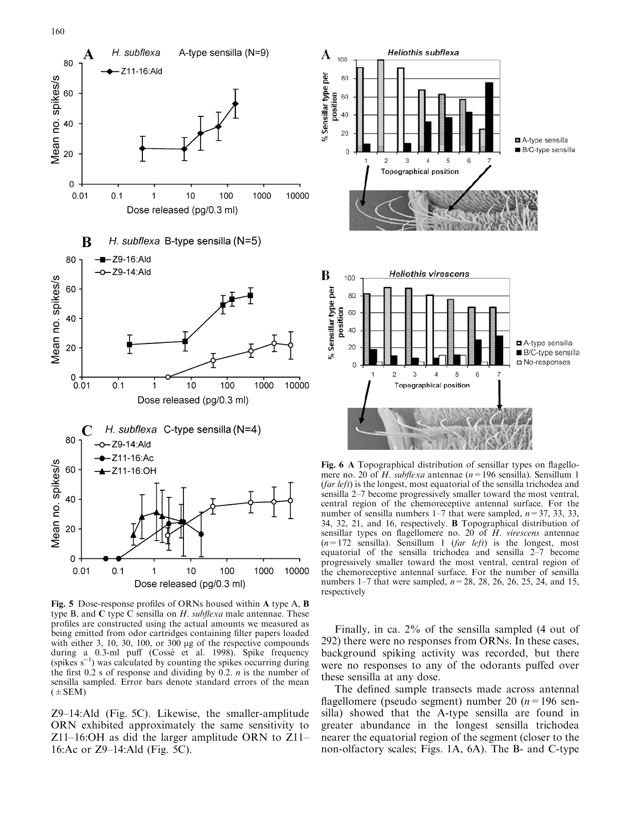

Fig. 5 Dose-response profiles of ORNs housed within A type A, B type B, and C type C sensilla on  $H$ . subflexa male antennae. These profiles are constructed using the actual amounts we measured as being emitted from odor cartridges containing filter papers loaded with either 3, 10, 30, 100, or  $300 \mu$ g of the respective compounds during a 0.3-ml puff (Cossé et al. 1998). Spike frequency (spikes  $s^{-1}$ ) was calculated by counting the spikes occurring during the first  $0.2$  s of response and dividing by  $0.2$ . *n* is the number of sensilla sampled. Error bars denote standard errors of the mean  $(±$  SEM)

Z9–14:Ald (Fig. 5C). Likewise, the smaller-amplitude ORN exhibited approximately the same sensitivity to Z11–16:OH as did the larger amplitude ORN to Z11– 16:Ac or Z9–14:Ald (Fig. 5C).



Fig. 6 A Topographical distribution of sensillar types on flagellomere no. 20 of H. subflexa antennae ( $n=196$  sensilla). Sensillum 1 (far left) is the longest, most equatorial of the sensilla trichodea and sensilla 2–7 become progressively smaller toward the most ventral, central region of the chemoreceptive antennal surface. For the number of sensilla numbers 1–7 that were sampled,  $n=37, 33, 33,$ 34, 32, 21, and 16, respectively. B Topographical distribution of sensillar types on flagellomere no. 20 of  $H$ . virescens antennae  $(n=172 \text{ sensilla})$ . Sensillum 1 (*far left*) is the longest, most equatorial of the sensilla trichodea and sensilla 2–7 become progressively smaller toward the most ventral, central region of the chemoreceptive antennal surface. For the number of sensilla numbers 1–7 that were sampled,  $n=28$ , 28, 26, 26, 25, 24, and 15, respectively

Finally, in ca. 2% of the sensilla sampled (4 out of 292) there were no responses from ORNs. In these cases, background spiking activity was recorded, but there were no responses to any of the odorants puffed over these sensilla at any dose.

The defined sample transects made across antennal flagellomere (pseudo segment) number 20 ( $n=196$  sensilla) showed that the A-type sensilla are found in greater abundance in the longest sensilla trichodea nearer the equatorial region of the segment (closer to the non-olfactory scales; Figs. 1A, 6A). The B- and C-type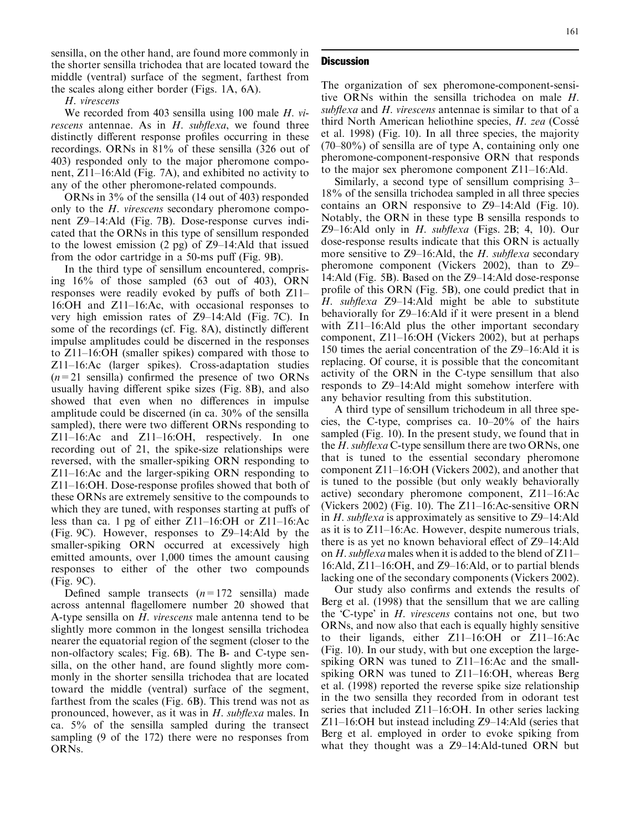sensilla, on the other hand, are found more commonly in the shorter sensilla trichodea that are located toward the middle (ventral) surface of the segment, farthest from the scales along either border (Figs. 1A, 6A).

# H. virescens

We recorded from 403 sensilla using 100 male H. virescens antennae. As in  $H$ . subflexa, we found three distinctly different response profiles occurring in these recordings. ORNs in 81% of these sensilla (326 out of 403) responded only to the major pheromone component, Z11–16:Ald (Fig. 7A), and exhibited no activity to any of the other pheromone-related compounds.

ORNs in 3% of the sensilla (14 out of 403) responded only to the H. virescens secondary pheromone component Z9–14:Ald (Fig. 7B). Dose-response curves indicated that the ORNs in this type of sensillum responded to the lowest emission (2 pg) of Z9–14:Ald that issued from the odor cartridge in a 50-ms puff (Fig. 9B).

In the third type of sensillum encountered, comprising 16% of those sampled (63 out of 403), ORN responses were readily evoked by puffs of both Z11– 16:OH and Z11–16:Ac, with occasional responses to very high emission rates of Z9–14:Ald (Fig. 7C). In some of the recordings (cf. Fig. 8A), distinctly different impulse amplitudes could be discerned in the responses to Z11–16:OH (smaller spikes) compared with those to Z11–16:Ac (larger spikes). Cross-adaptation studies  $(n=21)$  sensilla) confirmed the presence of two ORNs usually having different spike sizes (Fig. 8B), and also showed that even when no differences in impulse amplitude could be discerned (in ca. 30% of the sensilla sampled), there were two different ORNs responding to Z11–16:Ac and Z11–16:OH, respectively. In one recording out of 21, the spike-size relationships were reversed, with the smaller-spiking ORN responding to Z11–16:Ac and the larger-spiking ORN responding to Z11–16:OH. Dose-response profiles showed that both of these ORNs are extremely sensitive to the compounds to which they are tuned, with responses starting at puffs of less than ca. 1 pg of either Z11–16:OH or Z11–16:Ac (Fig. 9C). However, responses to Z9–14:Ald by the smaller-spiking ORN occurred at excessively high emitted amounts, over 1,000 times the amount causing responses to either of the other two compounds (Fig. 9C).

Defined sample transects  $(n=172 \text{ sensilla})$  made across antennal flagellomere number 20 showed that A-type sensilla on H. virescens male antenna tend to be slightly more common in the longest sensilla trichodea nearer the equatorial region of the segment (closer to the non-olfactory scales; Fig. 6B). The B- and C-type sensilla, on the other hand, are found slightly more commonly in the shorter sensilla trichodea that are located toward the middle (ventral) surface of the segment, farthest from the scales (Fig. 6B). This trend was not as pronounced, however, as it was in H. subflexa males. In ca. 5% of the sensilla sampled during the transect sampling (9 of the 172) there were no responses from ORNs.

# **Discussion**

The organization of sex pheromone-component-sensitive ORNs within the sensilla trichodea on male H. subflexa and H. virescens antennae is similar to that of a third North American heliothine species, H. zea (Cossé et al. 1998) (Fig. 10). In all three species, the majority (70–80%) of sensilla are of type A, containing only one pheromone-component-responsive ORN that responds to the major sex pheromone component Z11–16:Ald.

Similarly, a second type of sensillum comprising 3– 18% of the sensilla trichodea sampled in all three species contains an ORN responsive to Z9–14:Ald (Fig. 10). Notably, the ORN in these type B sensilla responds to Z9–16:Ald only in  $H$ . subflexa (Figs. 2B; 4, 10). Our dose-response results indicate that this ORN is actually more sensitive to  $Z9-16$ : Ald, the H. subflexa secondary pheromone component (Vickers 2002), than to Z9– 14:Ald (Fig. 5B). Based on the Z9–14:Ald dose-response profile of this ORN (Fig. 5B), one could predict that in H. subflexa Z9–14:Ald might be able to substitute behaviorally for Z9–16:Ald if it were present in a blend with Z11–16:Ald plus the other important secondary component, Z11–16:OH (Vickers 2002), but at perhaps 150 times the aerial concentration of the Z9–16:Ald it is replacing. Of course, it is possible that the concomitant activity of the ORN in the C-type sensillum that also responds to Z9–14:Ald might somehow interfere with any behavior resulting from this substitution.

A third type of sensillum trichodeum in all three species, the C-type, comprises ca. 10–20% of the hairs sampled (Fig. 10). In the present study, we found that in the H. subflexa C-type sensillum there are two ORNs, one that is tuned to the essential secondary pheromone component Z11–16:OH (Vickers 2002), and another that is tuned to the possible (but only weakly behaviorally active) secondary pheromone component, Z11–16:Ac (Vickers 2002) (Fig. 10). The Z11–16:Ac-sensitive ORN in H. subflexa is approximately as sensitive to  $Z<sup>9-14</sup>$ :Ald as it is to Z11–16:Ac. However, despite numerous trials, there is as yet no known behavioral effect of Z9–14:Ald on H. subflexa males when it is added to the blend of  $Z11-$ 16:Ald, Z11–16:OH, and Z9–16:Ald, or to partial blends lacking one of the secondary components (Vickers 2002).

Our study also confirms and extends the results of Berg et al. (1998) that the sensillum that we are calling the 'C-type' in H. virescens contains not one, but two ORNs, and now also that each is equally highly sensitive to their ligands, either Z11–16:OH or Z11–16:Ac (Fig. 10). In our study, with but one exception the largespiking ORN was tuned to Z11–16:Ac and the smallspiking ORN was tuned to Z11–16:OH, whereas Berg et al. (1998) reported the reverse spike size relationship in the two sensilla they recorded from in odorant test series that included Z11–16:OH. In other series lacking Z11–16:OH but instead including Z9–14:Ald (series that Berg et al. employed in order to evoke spiking from what they thought was a Z9–14:Ald-tuned ORN but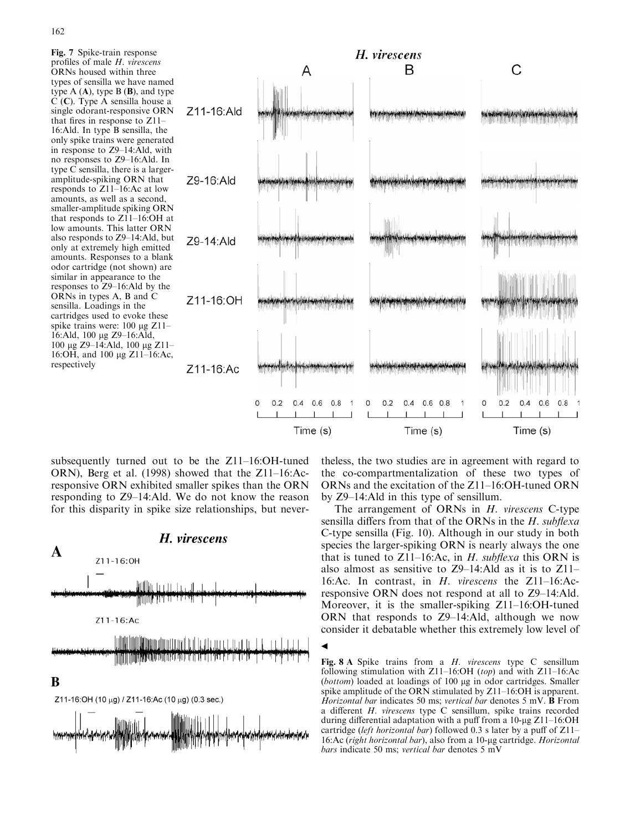



subsequently turned out to be the Z11–16:OH-tuned ORN), Berg et al. (1998) showed that the Z11–16:Acresponsive ORN exhibited smaller spikes than the ORN responding to Z9–14:Ald. We do not know the reason for this disparity in spike size relationships, but never-



theless, the two studies are in agreement with regard to the co-compartmentalization of these two types of ORNs and the excitation of the Z11–16:OH-tuned ORN by Z9–14:Ald in this type of sensillum.

The arrangement of ORNs in H. virescens C-type sensilla differs from that of the ORNs in the H. subflexa C-type sensilla (Fig. 10). Although in our study in both species the larger-spiking ORN is nearly always the one that is tuned to Z11–16:Ac, in  $H$ . subflexa this ORN is also almost as sensitive to Z9–14:Ald as it is to Z11– 16:Ac. In contrast, in H. virescens the Z11–16:Acresponsive ORN does not respond at all to Z9–14:Ald. Moreover, it is the smaller-spiking Z11–16:OH-tuned ORN that responds to Z9–14:Ald, although we now consider it debatable whether this extremely low level of

Fig. 8 A Spike trains from a H. virescens type C sensillum following stimulation with Z11–16:OH (top) and with Z11–16:Ac  $(bottom)$  loaded at loadings of 100  $\mu$ g in odor cartridges. Smaller spike amplitude of the ORN stimulated by Z11–16:OH is apparent. Horizontal bar indicates 50 ms; vertical bar denotes 5 mV.  $\overrightarrow{B}$  From a different H. virescens type C sensillum, spike trains recorded during differential adaptation with a puff from a 10-ug  $Z11-16:OH$ cartridge (left horizontal bar) followed 0.3 s later by a puff of  $Z11-$ 16:Ac (right horizontal bar), also from a 10-ug cartridge. Horizontal bars indicate 50 ms; vertical bar denotes 5 mV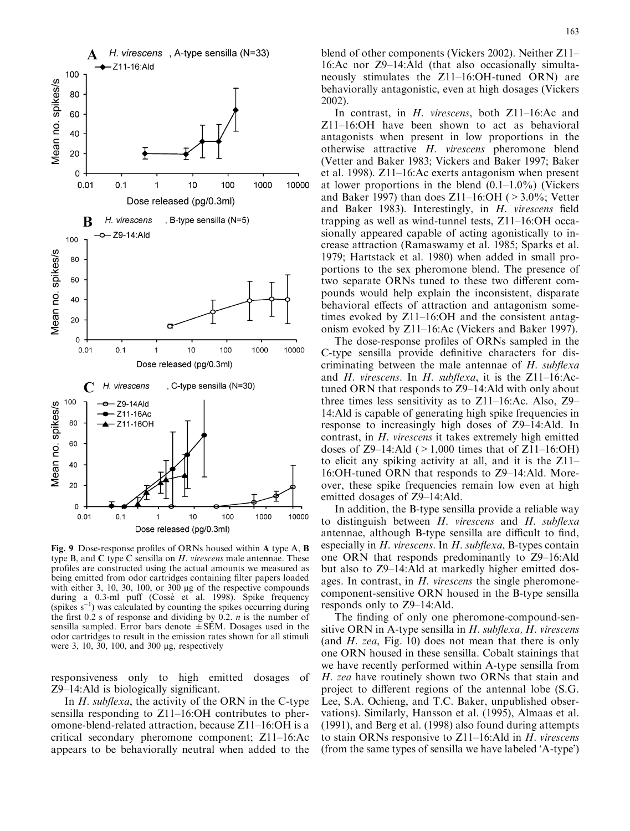

Fig. 9 Dose-response profiles of ORNs housed within A type A, B type B, and  $C$  type C sensilla on  $H$ . virescens male antennae. These profiles are constructed using the actual amounts we measured as being emitted from odor cartridges containing filter papers loaded with either 3, 10, 30, 100, or  $300 \mu$ g of the respective compounds during a 0.3-ml puff (Cossé et al. 1998). Spike frequency (spikes  $s^{-1}$ ) was calculated by counting the spikes occurring during the first 0.2 s of response and dividing by 0.2. *n* is the number of sensilla sampled. Error bars denote  $\pm$  SEM. Dosages used in the odor cartridges to result in the emission rates shown for all stimuli were 3, 10, 30, 100, and 300 µg, respectively

responsiveness only to high emitted dosages of Z9–14:Ald is biologically significant.

In  $H$ . subflexa, the activity of the ORN in the C-type sensilla responding to Z11–16:OH contributes to pheromone-blend-related attraction, because Z11–16:OH is a critical secondary pheromone component; Z11–16:Ac appears to be behaviorally neutral when added to the blend of other components (Vickers 2002). Neither Z11– 16:Ac nor Z9–14:Ald (that also occasionally simultaneously stimulates the Z11–16:OH-tuned ORN) are behaviorally antagonistic, even at high dosages (Vickers 2002).

In contrast, in H. virescens, both Z11–16:Ac and Z11–16:OH have been shown to act as behavioral antagonists when present in low proportions in the otherwise attractive H. virescens pheromone blend (Vetter and Baker 1983; Vickers and Baker 1997; Baker et al. 1998). Z11–16:Ac exerts antagonism when present at lower proportions in the blend  $(0.1-1.0\%)$  (Vickers and Baker 1997) than does  $Z11-16:OH$  ( $>3.0\%$ ; Vetter and Baker 1983). Interestingly, in H. virescens field trapping as well as wind-tunnel tests, Z11–16:OH occasionally appeared capable of acting agonistically to increase attraction (Ramaswamy et al. 1985; Sparks et al. 1979; Hartstack et al. 1980) when added in small proportions to the sex pheromone blend. The presence of two separate ORNs tuned to these two different compounds would help explain the inconsistent, disparate behavioral effects of attraction and antagonism sometimes evoked by Z11–16:OH and the consistent antagonism evoked by Z11–16:Ac (Vickers and Baker 1997).

The dose-response profiles of ORNs sampled in the C-type sensilla provide definitive characters for discriminating between the male antennae of  $H$ . subflexa and H. virescens. In H. subflexa, it is the  $Z11-16$ :Actuned ORN that responds to Z9–14:Ald with only about three times less sensitivity as to Z11–16:Ac. Also, Z9– 14:Ald is capable of generating high spike frequencies in response to increasingly high doses of Z9–14:Ald. In contrast, in H. virescens it takes extremely high emitted doses of  $Z9-14$ :Ald ( $>1,000$  times that of  $Z11-16$ :OH) to elicit any spiking activity at all, and it is the Z11– 16:OH-tuned ORN that responds to Z9–14:Ald. Moreover, these spike frequencies remain low even at high emitted dosages of Z9–14:Ald.

In addition, the B-type sensilla provide a reliable way to distinguish between  $H$ . virescens and  $H$ . subflexa antennae, although B-type sensilla are difficult to find, especially in  $H$ . virescens. In  $H$ . subflexa, B-types contain one ORN that responds predominantly to Z9–16:Ald but also to Z9–14:Ald at markedly higher emitted dosages. In contrast, in H. virescens the single pheromonecomponent-sensitive ORN housed in the B-type sensilla responds only to Z9–14:Ald.

The finding of only one pheromone-compound-sensitive ORN in A-type sensilla in  $H$ . subflexa,  $H$ . virescens (and  $H$ . zea, Fig. 10) does not mean that there is only one ORN housed in these sensilla. Cobalt stainings that we have recently performed within A-type sensilla from H. zea have routinely shown two ORNs that stain and project to different regions of the antennal lobe (S.G. Lee, S.A. Ochieng, and T.C. Baker, unpublished observations). Similarly, Hansson et al. (1995), Almaas et al. (1991), and Berg et al. (1998) also found during attempts to stain ORNs responsive to Z11–16:Ald in H. virescens (from the same types of sensilla we have labeled 'A-type')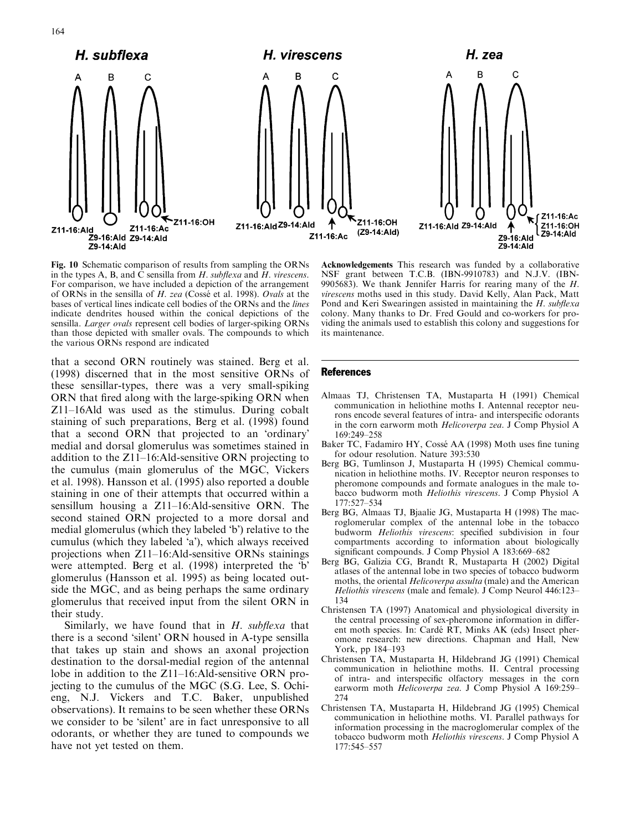

164



Fig. 10 Schematic comparison of results from sampling the ORNs in the types A, B, and C sensilla from  $H$ . subflexa and  $H$ . virescens. For comparison, we have included a depiction of the arrangement of ORNs in the sensilla of H. zea (Cossé et al. 1998). Ovals at the bases of vertical lines indicate cell bodies of the ORNs and the lines indicate dendrites housed within the conical depictions of the sensilla. Larger ovals represent cell bodies of larger-spiking ORNs than those depicted with smaller ovals. The compounds to which the various ORNs respond are indicated

that a second ORN routinely was stained. Berg et al. (1998) discerned that in the most sensitive ORNs of these sensillar-types, there was a very small-spiking ORN that fired along with the large-spiking ORN when Z11–16Ald was used as the stimulus. During cobalt staining of such preparations, Berg et al. (1998) found that a second ORN that projected to an 'ordinary' medial and dorsal glomerulus was sometimes stained in addition to the Z11–16:Ald-sensitive ORN projecting to the cumulus (main glomerulus of the MGC, Vickers et al. 1998). Hansson et al. (1995) also reported a double staining in one of their attempts that occurred within a sensillum housing a Z11–16:Ald-sensitive ORN. The second stained ORN projected to a more dorsal and medial glomerulus (which they labeled 'b') relative to the cumulus (which they labeled 'a'), which always received projections when Z11–16:Ald-sensitive ORNs stainings were attempted. Berg et al. (1998) interpreted the 'b' glomerulus (Hansson et al. 1995) as being located outside the MGC, and as being perhaps the same ordinary glomerulus that received input from the silent ORN in their study.

Similarly, we have found that in  $H$ . subflexa that there is a second 'silent' ORN housed in A-type sensilla that takes up stain and shows an axonal projection destination to the dorsal-medial region of the antennal lobe in addition to the Z11–16:Ald-sensitive ORN projecting to the cumulus of the MGC (S.G. Lee, S. Ochieng, N.J. Vickers and T.C. Baker, unpublished observations). It remains to be seen whether these ORNs we consider to be 'silent' are in fact unresponsive to all odorants, or whether they are tuned to compounds we have not yet tested on them.

Acknowledgements This research was funded by a collaborative NSF grant between T.C.B. (IBN-9910783) and N.J.V. (IBN-9905683). We thank Jennifer Harris for rearing many of the  $H$ . virescens moths used in this study. David Kelly, Alan Pack, Matt Pond and Keri Swearingen assisted in maintaining the H. subflexa colony. Many thanks to Dr. Fred Gould and co-workers for providing the animals used to establish this colony and suggestions for its maintenance.

## **References**

- Almaas TJ, Christensen TA, Mustaparta H (1991) Chemical communication in heliothine moths I. Antennal receptor neurons encode several features of intra- and interspecific odorants in the corn earworm moth Helicoverpa zea. J Comp Physiol A 169:249–258
- Baker TC, Fadamiro HY, Cossé AA (1998) Moth uses fine tuning for odour resolution. Nature 393:530
- Berg BG, Tumlinson J, Mustaparta H (1995) Chemical communication in heliothine moths. IV. Receptor neuron responses to pheromone compounds and formate analogues in the male tobacco budworm moth Heliothis virescens. J Comp Physiol A 177:527–534
- Berg BG, Almaas TJ, Bjaalie JG, Mustaparta H (1998) The macroglomerular complex of the antennal lobe in the tobacco budworm Heliothis virescens: specified subdivision in four compartments according to information about biologically significant compounds. J Comp Physiol A  $183:669-682$
- Berg BG, Galizia CG, Brandt R, Mustaparta H (2002) Digital atlases of the antennal lobe in two species of tobacco budworm moths, the oriental Helicoverpa assulta (male) and the American Heliothis virescens (male and female). J Comp Neurol 446:123– 134
- Christensen TA (1997) Anatomical and physiological diversity in the central processing of sex-pheromone information in different moth species. In: Cardé RT, Minks AK (eds) Insect pheromone research: new directions. Chapman and Hall, New York, pp 184–193
- Christensen TA, Mustaparta H, Hildebrand JG (1991) Chemical communication in heliothine moths. II. Central processing of intra- and interspecific olfactory messages in the corn earworm moth Helicoverpa zea. J Comp Physiol A 169:259– 274
- Christensen TA, Mustaparta H, Hildebrand JG (1995) Chemical communication in heliothine moths. VI. Parallel pathways for information processing in the macroglomerular complex of the tobacco budworm moth Heliothis virescens. J Comp Physiol A 177:545–557